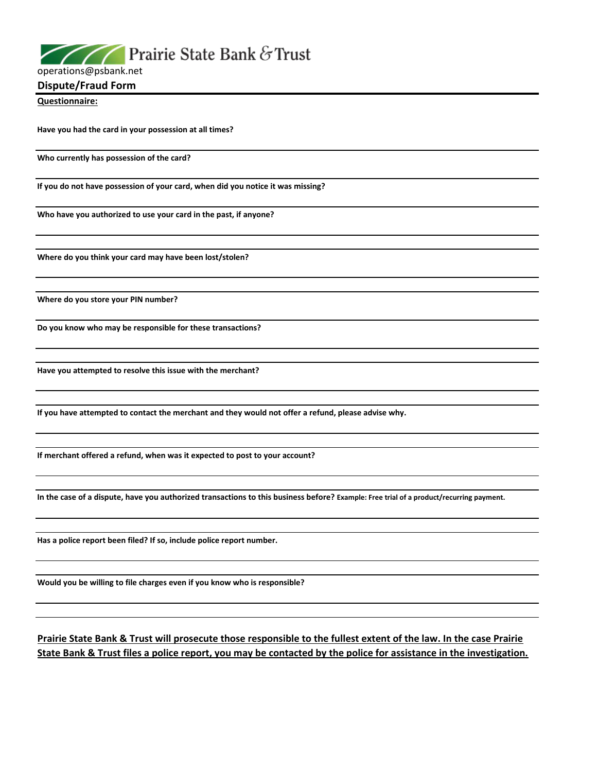**Prairie State Bank & Trust** 

operations@psbank.net

**Dispute/Fraud Form**

**Questionnaire:**

**Have you had the card in your possession at all times?**

**Who currently has possession of the card?** 

**If you do not have possession of your card, when did you notice it was missing?**

**Who have you authorized to use your card in the past, if anyone?**

**Where do you think your card may have been lost/stolen?**

**Where do you store your PIN number?**

**Do you know who may be responsible for these transactions?**

**Have you attempted to resolve this issue with the merchant?**

**If you have attempted to contact the merchant and they would not offer a refund, please advise why.**

**If merchant offered a refund, when was it expected to post to your account?**

**In the case of a dispute, have you authorized transactions to this business before? Example: Free trial of a product/recurring payment.**

**Has a police report been filed? If so, include police report number.**

**Would you be willing to file charges even if you know who is responsible?**

**Prairie State Bank & Trust will prosecute those responsible to the fullest extent of the law. In the case Prairie State Bank & Trust files a police report, you may be contacted by the police for assistance in the investigation.**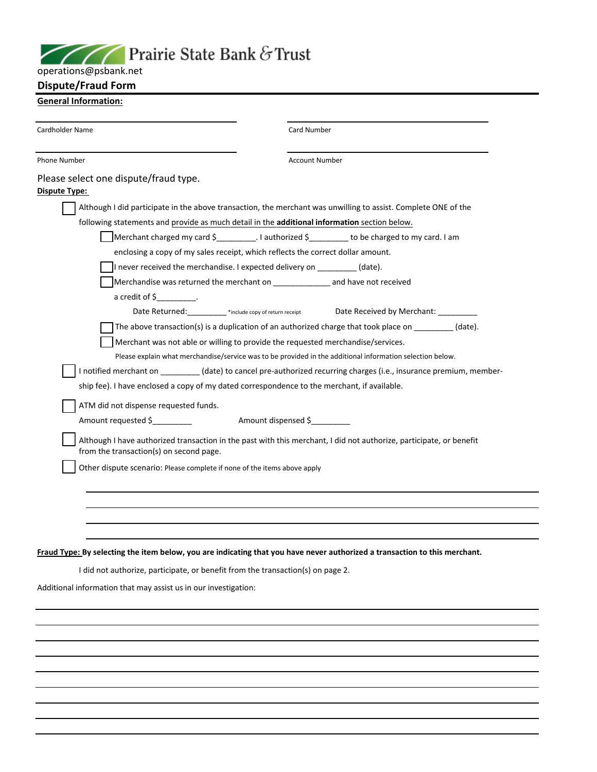## Prairie State Bank & Trust

| operations@psbank.net |  |
|-----------------------|--|
|-----------------------|--|

## **Dispute/Fraud Form**

## **General Information:**

| Cardholder Name                                                                                                            | Card Number                                                                                                         |  |
|----------------------------------------------------------------------------------------------------------------------------|---------------------------------------------------------------------------------------------------------------------|--|
| Phone Number                                                                                                               | <b>Account Number</b>                                                                                               |  |
| Please select one dispute/fraud type.<br>Dispute Type:                                                                     |                                                                                                                     |  |
|                                                                                                                            | Although I did participate in the above transaction, the merchant was unwilling to assist. Complete ONE of the      |  |
| following statements and provide as much detail in the <b>additional information</b> section below.                        |                                                                                                                     |  |
|                                                                                                                            | Merchant charged my card $\frac{2}{3}$ . I authorized $\frac{2}{3}$ to be charged to my card. I am                  |  |
| enclosing a copy of my sales receipt, which reflects the correct dollar amount.                                            |                                                                                                                     |  |
| If never received the merchandise. I expected delivery on $(date)$ .                                                       |                                                                                                                     |  |
| Merchandise was returned the merchant on __________________ and have not received                                          |                                                                                                                     |  |
| $a$ credit of $\frac{c}{2}$ .                                                                                              |                                                                                                                     |  |
|                                                                                                                            | Date Returned: _________*include copy of return receipt bate Received by Merchant: __________                       |  |
|                                                                                                                            | The above transaction(s) is a duplication of an authorized charge that took place on _________ (date).              |  |
| Merchant was not able or willing to provide the requested merchandise/services.                                            |                                                                                                                     |  |
|                                                                                                                            | Please explain what merchandise/service was to be provided in the additional information selection below.           |  |
|                                                                                                                            | I notified merchant on _________(date) to cancel pre-authorized recurring charges (i.e., insurance premium, member- |  |
| ship fee). I have enclosed a copy of my dated correspondence to the merchant, if available.                                |                                                                                                                     |  |
| ATM did not dispense requested funds.                                                                                      |                                                                                                                     |  |
|                                                                                                                            |                                                                                                                     |  |
| from the transaction(s) on second page.                                                                                    | Although I have authorized transaction in the past with this merchant, I did not authorize, participate, or benefit |  |
| Other dispute scenario: Please complete if none of the items above apply                                                   |                                                                                                                     |  |
|                                                                                                                            |                                                                                                                     |  |
|                                                                                                                            |                                                                                                                     |  |
|                                                                                                                            |                                                                                                                     |  |
|                                                                                                                            |                                                                                                                     |  |
| Fraud Type: By selecting the item below, you are indicating that you have never authorized a transaction to this merchant. |                                                                                                                     |  |
| I did not authorize, participate, or benefit from the transaction(s) on page 2.                                            |                                                                                                                     |  |
| Additional information that may assist us in our investigation:                                                            |                                                                                                                     |  |

 $\overline{\phantom{0}}$  $\overline{\phantom{0}}$